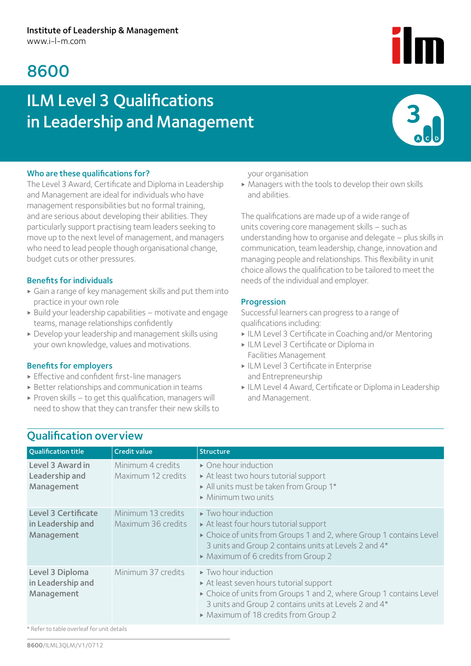## 8600

# ILM Level 3 Qualifications in Leadership and Management



#### Who are these qualifications for?

The Level 3 Award, Certificate and Diploma in Leadership and Management are ideal for individuals who have management responsibilities but no formal training, and are serious about developing their abilities. They particularly support practising team leaders seeking to move up to the next level of management, and managers who need to lead people though organisational change, budget cuts or other pressures.

#### Benefits for individuals

- ▶ Gain a range of key management skills and put them into practice in your own role
- $\triangleright$  Build your leadership capabilities motivate and engage teams, manage relationships confidently
- ▶ Develop your leadership and management skills using your own knowledge, values and motivations.

#### Benefits for employers

- ▶ Effective and confident first-line managers
- $\triangleright$  Better relationships and communication in teams
- $\triangleright$  Proven skills to get this qualification, managers will need to show that they can transfer their new skills to

#### your organisation

 $\triangleright$  Managers with the tools to develop their own skills and abilities.

The qualifications are made up of a wide range of units covering core management skills – such as understanding how to organise and delegate – plus skills in communication, team leadership, change, innovation and managing people and relationships. This flexibility in unit choice allows the qualification to be tailored to meet the needs of the individual and employer.

#### **Progression**

Successful learners can progress to a range of qualifications including:

- ▶ ILM Level 3 Certificate in Coaching and/or Mentoring
- ▶ ILM Level 3 Certificate or Diploma in Facilities Management
- ▶ ILM Level 3 Certificate in Enterprise and Entrepreneurship
- ▶ ILM Level 4 Award, Certificate or Diploma in Leadership and Management.

## Qualification overview

| <b>Qualification title</b>                                    | <b>Credit value</b>                      | <b>Structure</b>                                                                                                                                                                                                                                     |
|---------------------------------------------------------------|------------------------------------------|------------------------------------------------------------------------------------------------------------------------------------------------------------------------------------------------------------------------------------------------------|
| Level 3 Award in<br>Leadership and<br>Management              | Minimum 4 credits<br>Maximum 12 credits  | • One hour induction<br>At least two hours tutorial support<br>All units must be taken from Group 1*<br>$\triangleright$ Minimum two units                                                                                                           |
| <b>Level 3 Certificate</b><br>in Leadership and<br>Management | Minimum 13 credits<br>Maximum 36 credits | Two hour induction<br>At least four hours tutorial support<br>► Choice of units from Groups 1 and 2, where Group 1 contains Level<br>3 units and Group 2 contains units at Levels 2 and 4*<br>• Maximum of 6 credits from Group 2                    |
| Level 3 Diploma<br>in Leadership and<br>Management            | Minimum 37 credits                       | $\triangleright$ Two hour induction<br>At least seven hours tutorial support<br>► Choice of units from Groups 1 and 2, where Group 1 contains Level<br>3 units and Group 2 contains units at Levels 2 and 4*<br>• Maximum of 18 credits from Group 2 |

\* Refer to table overleaf for unit details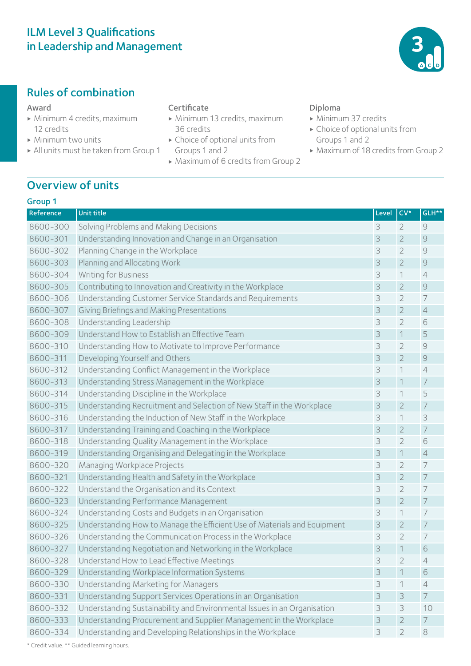## ILM Level 3 Qualifications in Leadership and Management

## Rules of combination

#### Award

- ▶ Minimum 4 credits, maximum 12 credits
- ▶ Minimum two units
- ▶ All units must be taken from Group 1

#### **Certificate**

- ▶ Minimum 13 credits, maximum 36 credits
- ▶ Choice of optional units from Groups 1 and 2
- ▶ Maximum of 6 credits from Group 2

#### Diploma

- ▶ Minimum 37 credits
- $\triangleright$  Choice of optional units from Groups 1 and 2
- ▶ Maximum of 18 credits from Group 2

## Overview of units

#### Group 1

| Reference | <b>Unit title</b>                                                        | Level | $CV*$          | GLH**          |
|-----------|--------------------------------------------------------------------------|-------|----------------|----------------|
| 8600-300  | Solving Problems and Making Decisions                                    | 3     | 2              | $\Theta$       |
| 8600-301  | Understanding Innovation and Change in an Organisation                   | 3     | $\overline{2}$ | $\mathcal{G}$  |
| 8600-302  | Planning Change in the Workplace                                         | 3     | $\overline{2}$ | 9              |
| 8600-303  | Planning and Allocating Work                                             | 3     | $\overline{2}$ | $\mathcal{Q}$  |
| 8600-304  | <b>Writing for Business</b>                                              | 3     | 1              | $\overline{4}$ |
| 8600-305  | Contributing to Innovation and Creativity in the Workplace               | 3     | $\overline{2}$ | $\mathcal{Q}$  |
| 8600-306  | Understanding Customer Service Standards and Requirements                | 3     | $\overline{2}$ | 7              |
| 8600-307  | Giving Briefings and Making Presentations                                | 3     | $\overline{2}$ | $\sqrt{4}$     |
| 8600-308  | Understanding Leadership                                                 | 3     | $\overline{2}$ | 6              |
| 8600-309  | Understand How to Establish an Effective Team                            | 3     | $\mathbf 1$    | 5              |
| 8600-310  | Understanding How to Motivate to Improve Performance                     | 3     | $\overline{2}$ | 9              |
| 8600-311  | Developing Yourself and Others                                           | 3     | $\overline{2}$ | $\mathcal{Q}$  |
| 8600-312  | Understanding Conflict Management in the Workplace                       | 3     | 1              | $\overline{4}$ |
| 8600-313  | Understanding Stress Management in the Workplace                         | 3     | $\mathcal{I}$  | $\overline{7}$ |
| 8600-314  | Understanding Discipline in the Workplace                                | 3     | 1              | 5              |
| 8600-315  | Understanding Recruitment and Selection of New Staff in the Workplace    | 3     | $\overline{2}$ | $\overline{7}$ |
| 8600-316  | Understanding the Induction of New Staff in the Workplace                | 3     | 1              | 3              |
| 8600-317  | Understanding Training and Coaching in the Workplace                     | 3     | $\overline{2}$ | $\overline{7}$ |
| 8600-318  | Understanding Quality Management in the Workplace                        | 3     | $\overline{2}$ | 6              |
| 8600-319  | Understanding Organising and Delegating in the Workplace                 | 3     | $\mathbf 1$    | $\overline{4}$ |
| 8600-320  | Managing Workplace Projects                                              | 3     | $\overline{2}$ | $\overline{7}$ |
| 8600-321  | Understanding Health and Safety in the Workplace                         | 3     | $\overline{2}$ | $\overline{7}$ |
| 8600-322  | Understand the Organisation and its Context                              | 3     | $\overline{2}$ | $\overline{7}$ |
| 8600-323  | Understanding Performance Management                                     | 3     | $\overline{2}$ | $\overline{7}$ |
| 8600-324  | Understanding Costs and Budgets in an Organisation                       | 3     | 1              | $\overline{7}$ |
| 8600-325  | Understanding How to Manage the Efficient Use of Materials and Equipment | 3     | $\overline{2}$ | $\overline{7}$ |
| 8600-326  | Understanding the Communication Process in the Workplace                 | 3     | $\overline{2}$ | $\overline{7}$ |
| 8600-327  | Understanding Negotiation and Networking in the Workplace                | 3     | $\mathbf 1$    | 6              |
| 8600-328  | Understand How to Lead Effective Meetings                                | 3     | $\overline{2}$ | $\overline{4}$ |
| 8600-329  | Understanding Workplace Information Systems                              | 3     | 1              | 6              |
| 8600-330  | Understanding Marketing for Managers                                     | 3     | 1              | $\overline{4}$ |
| 8600-331  | Understanding Support Services Operations in an Organisation             | 3     | 3              | $\overline{7}$ |
| 8600-332  | Understanding Sustainability and Environmental Issues in an Organisation | 3     | 3              | 10             |
| 8600-333  | Understanding Procurement and Supplier Management in the Workplace       | 3     | $\overline{2}$ | 7              |
| 8600-334  | Understanding and Developing Relationships in the Workplace              | 3     | $\overline{2}$ | $\,8\,$        |

\* Credit value. \*\* Guided learning hours.

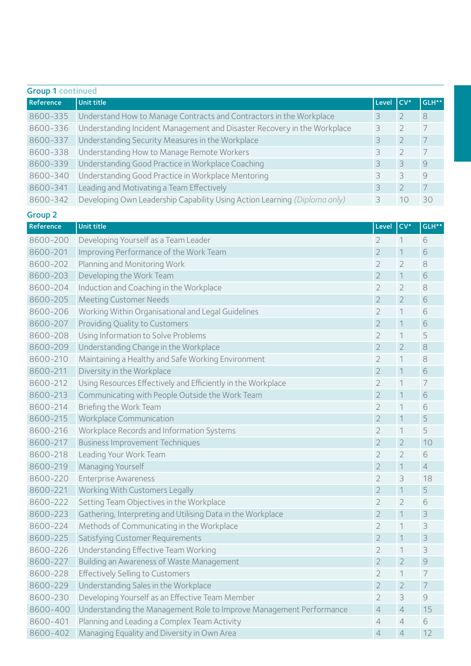| <b>Group 1 continued</b> |                                                                           |               |       |       |  |
|--------------------------|---------------------------------------------------------------------------|---------------|-------|-------|--|
| Reference                | <b>Unit title</b>                                                         | Level         | l CV* | GLH** |  |
| 8600-335                 | Understand How to Manage Contracts and Contractors in the Workplace       |               |       | 8     |  |
| 8600-336                 | Understanding Incident Management and Disaster Recovery in the Workplace  |               |       |       |  |
| 8600-337                 | Understanding Security Measures in the Workplace                          | 3             |       |       |  |
| 8600-338                 | Understanding How to Manage Remote Workers                                |               |       |       |  |
| 8600-339                 | Understanding Good Practice in Workplace Coaching                         | 3             | ζ     | 9     |  |
| 8600-340                 | Understanding Good Practice in Workplace Mentoring                        | ζ             |       | 9     |  |
| 8600-341                 | Leading and Motivating a Team Effectively                                 | $\mathcal{R}$ |       |       |  |
| 8600-342                 | Developing Own Leadership Capability Using Action Learning (Diploma only) |               | 10    | 30    |  |

#### Group 2

| Reference | <b>Unit title</b>                                                   | Level          | $CV*$          | GLH**                                                     |
|-----------|---------------------------------------------------------------------|----------------|----------------|-----------------------------------------------------------|
| 8600-200  | Developing Yourself as a Team Leader                                | 2              | 1              | 6                                                         |
| 8600-201  | Improving Performance of the Work Team                              | $\overline{2}$ | $\mathbf 1$    | 6                                                         |
| 8600-202  | Planning and Monitoring Work                                        | 2              | $\overline{2}$ | 8                                                         |
| 8600-203  | Developing the Work Team                                            | $\overline{2}$ | $\mathbf 1$    | 6                                                         |
| 8600-204  | Induction and Coaching in the Workplace                             | $\overline{2}$ | $\overline{2}$ | 8                                                         |
| 8600-205  | <b>Meeting Customer Needs</b>                                       | $\overline{2}$ | $\overline{2}$ | 6                                                         |
| 8600-206  | Working Within Organisational and Legal Guidelines                  | $\overline{2}$ | 1              | 6                                                         |
| 8600-207  | Providing Quality to Customers                                      | $\overline{2}$ | 1              | 6                                                         |
| 8600-208  | Using Information to Solve Problems                                 | $\overline{2}$ | 1              | 5                                                         |
| 8600-209  | Understanding Change in the Workplace                               | $\overline{2}$ | $\overline{2}$ | 8                                                         |
| 8600-210  | Maintaining a Healthy and Safe Working Environment                  | $\overline{2}$ | 1              | 8                                                         |
| 8600-211  | Diversity in the Workplace                                          | $\overline{2}$ | $\mathbf 1$    | 6                                                         |
| 8600-212  | Using Resources Effectively and Efficiently in the Workplace        | $\overline{2}$ | 1              | 7                                                         |
| 8600-213  | Communicating with People Outside the Work Team                     | $\overline{2}$ | $\mathbf 1$    | 6                                                         |
| 8600-214  | Briefing the Work Team                                              | $\overline{2}$ | 1              | 6                                                         |
| 8600-215  | Workplace Communication                                             | $\overline{2}$ | $\mathbf 1$    | 5                                                         |
| 8600-216  | Workplace Records and Information Systems                           | $\overline{2}$ | 1              | 5                                                         |
| 8600-217  | <b>Business Improvement Techniques</b>                              | $\overline{2}$ | $\overline{2}$ | 10                                                        |
| 8600-218  | Leading Your Work Team                                              | $\overline{2}$ | $\overline{2}$ | 6                                                         |
| 8600-219  | Managing Yourself                                                   | $\overline{2}$ | $\mathbf 1$    | $\overline{4}$                                            |
| 8600-220  | <b>Enterprise Awareness</b>                                         | $\overline{2}$ | 3              | 18                                                        |
| 8600-221  | Working With Customers Legally                                      | $\overline{2}$ | $\mathbf 1$    | 5                                                         |
| 8600-222  | Setting Team Objectives in the Workplace                            | $\overline{2}$ | $\overline{2}$ | 6                                                         |
| 8600-223  | Gathering, Interpreting and Utilising Data in the Workplace         | $\overline{2}$ | $\mathbf 1$    | 3                                                         |
| 8600-224  | Methods of Communicating in the Workplace                           | $\overline{2}$ | $\mathbf 1$    | 3                                                         |
| 8600-225  | Satisfying Customer Requirements                                    | $\overline{2}$ | $\mathbf 1$    | 3                                                         |
| 8600-226  | Understanding Effective Team Working                                | $\overline{2}$ | $\mathbf 1$    | 3                                                         |
| 8600-227  | Building an Awareness of Waste Management                           | $\overline{2}$ | $\overline{2}$ | 9                                                         |
| 8600-228  | Effectively Selling to Customers                                    | $\overline{2}$ | $\mathbf 1$    | 7                                                         |
| 8600-229  | Understanding Sales in the Workplace                                | $\overline{2}$ | $\overline{2}$ | 7                                                         |
| 8600-230  | Developing Yourself as an Effective Team Member                     | $\overline{2}$ | 3              | $\mathcal{G}% _{M_{1},M_{2}}^{\alpha,\beta}(\varepsilon)$ |
| 8600-400  | Understanding the Management Role to Improve Management Performance | 4              | 4              | 15                                                        |
| 8600-401  | Planning and Leading a Complex Team Activity                        | 4              | $\overline{4}$ | 6                                                         |
| 8600-402  | Managing Equality and Diversity in Own Area                         | 4              | $\overline{4}$ | 12                                                        |